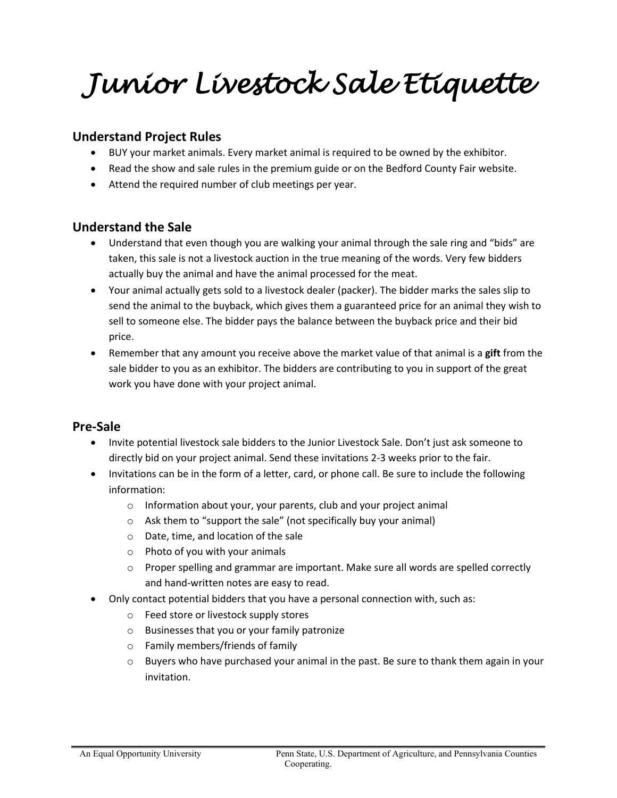*Junior Livestock Sale Etiquette* 

# **Understand Project Rules**

- BUY your market animals. Every market animal is required to be owned by the exhibitor.
- Read the show and sale rules in the premium guide or on the Bedford County Fair website.
- Attend the required number of club meetings per year.

#### **Understand the Sale**

- Understand that even though you are walking your animal through the sale ring and "bids" are taken, this sale is not a livestock auction in the true meaning of the words. Very few bidders actually buy the animal and have the animal processed for the meat.
- Your animal actually gets sold to a livestock dealer (packer). The bidder marks the sales slip to send the animal to the buyback, which gives them a guaranteed price for an animal they wish to sell to someone else. The bidder pays the balance between the buyback price and their bid price.
- Remember that any amount you receive above the market value of that animal is a **gift** from the sale bidder to you as an exhibitor. The bidders are contributing to you in support of the great work you have done with your project animal.

# **Pre-Sale**

- Invite potential livestock sale bidders to the Junior Livestock Sale. Don't just ask someone to directly bid on your project animal. Send these invitations 2-3 weeks prior to the fair.
- Invitations can be in the form of a letter, card, or phone call. Be sure to include the following information:
	- o Information about your, your parents, club and your project animal
	- o Ask them to "support the sale" (not specifically buy your animal)
	- o Date, time, and location of the sale
	- o Photo of you with your animals
	- $\circ$  Proper spelling and grammar are important. Make sure all words are spelled correctly and hand-written notes are easy to read.
- Only contact potential bidders that you have a personal connection with, such as:
	- o Feed store or livestock supply stores
	- o Businesses that you or your family patronize
	- o Family members/friends of family
	- $\circ$  Buyers who have purchased your animal in the past. Be sure to thank them again in your invitation.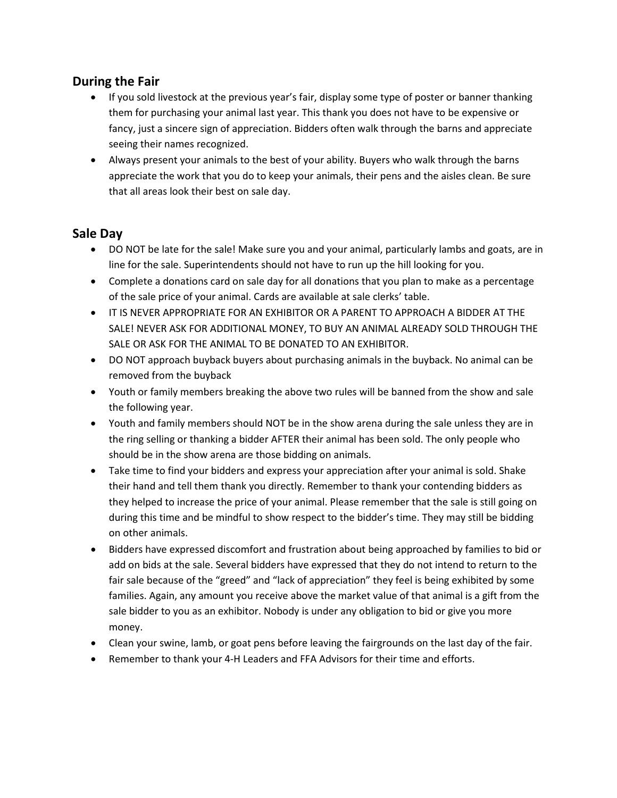# **During the Fair**

- If you sold livestock at the previous year's fair, display some type of poster or banner thanking them for purchasing your animal last year. This thank you does not have to be expensive or fancy, just a sincere sign of appreciation. Bidders often walk through the barns and appreciate seeing their names recognized.
- Always present your animals to the best of your ability. Buyers who walk through the barns appreciate the work that you do to keep your animals, their pens and the aisles clean. Be sure that all areas look their best on sale day.

## **Sale Day**

- DO NOT be late for the sale! Make sure you and your animal, particularly lambs and goats, are in line for the sale. Superintendents should not have to run up the hill looking for you.
- Complete a donations card on sale day for all donations that you plan to make as a percentage of the sale price of your animal. Cards are available at sale clerks' table.
- IT IS NEVER APPROPRIATE FOR AN EXHIBITOR OR A PARENT TO APPROACH A BIDDER AT THE SALE! NEVER ASK FOR ADDITIONAL MONEY, TO BUY AN ANIMAL ALREADY SOLD THROUGH THE SALE OR ASK FOR THE ANIMAL TO BE DONATED TO AN EXHIBITOR.
- DO NOT approach buyback buyers about purchasing animals in the buyback. No animal can be removed from the buyback
- Youth or family members breaking the above two rules will be banned from the show and sale the following year.
- Youth and family members should NOT be in the show arena during the sale unless they are in the ring selling or thanking a bidder AFTER their animal has been sold. The only people who should be in the show arena are those bidding on animals.
- Take time to find your bidders and express your appreciation after your animal is sold. Shake their hand and tell them thank you directly. Remember to thank your contending bidders as they helped to increase the price of your animal. Please remember that the sale is still going on during this time and be mindful to show respect to the bidder's time. They may still be bidding on other animals.
- Bidders have expressed discomfort and frustration about being approached by families to bid or add on bids at the sale. Several bidders have expressed that they do not intend to return to the fair sale because of the "greed" and "lack of appreciation" they feel is being exhibited by some families. Again, any amount you receive above the market value of that animal is a gift from the sale bidder to you as an exhibitor. Nobody is under any obligation to bid or give you more money.
- Clean your swine, lamb, or goat pens before leaving the fairgrounds on the last day of the fair.
- Remember to thank your 4-H Leaders and FFA Advisors for their time and efforts.